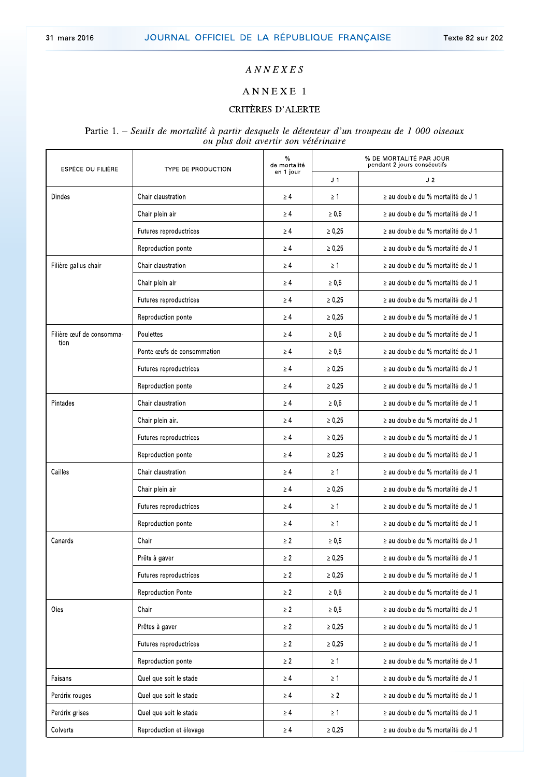# $\overline{A}$  N N E X E S

# $ANDNEXE$  1

## CRITERES D'ALERTE

|                                             |  | Partie 1. – Seuils de mortalité à partir desquels le détenteur d'un troupeau de 1 000 oiseaux |  |  |  |
|---------------------------------------------|--|-----------------------------------------------------------------------------------------------|--|--|--|
| <i>ou plus doit avertir son vétérinaire</i> |  |                                                                                               |  |  |  |

|                          |                                                                                               | A N N E X E S                        |                |                                                        |  |
|--------------------------|-----------------------------------------------------------------------------------------------|--------------------------------------|----------------|--------------------------------------------------------|--|
|                          |                                                                                               | ANNEXE <sub>1</sub>                  |                |                                                        |  |
|                          |                                                                                               | <b>CRITÈRES D'ALERTE</b>             |                |                                                        |  |
|                          | Partie 1. – Seuils de mortalité à partir desquels le détenteur d'un troupeau de 1 000 oiseaux | ou plus doit avertir son vétérinaire |                |                                                        |  |
|                          |                                                                                               | $\%$<br>de mortalité                 |                | % DE MORTALITÉ PAR JOUR<br>pendant 2 jours consécutifs |  |
| ESPÈCE OU FILIÈRE        | TYPE DE PRODUCTION                                                                            | en 1 jour                            | J <sub>1</sub> | J <sub>2</sub>                                         |  |
| Dindes                   | Chair claustration                                                                            | $\geq 4$                             | $\geq 1$       | ≥ au double du % mortalité de J 1                      |  |
|                          | Chair plein air                                                                               | $\geq 4$                             | $\geq 0.5$     | ≥ au double du % mortalité de J 1                      |  |
|                          | Futures reproductrices                                                                        | $\geq 4$                             | $\ge 0.25$     | ≥ au double du % mortalité de J 1                      |  |
|                          | Reproduction ponte                                                                            | $\geq 4$                             | $\geq 0.25$    | ≥ au double du % mortalité de J 1                      |  |
| Filière gallus chair     | Chair claustration                                                                            | $\geq 4$                             | $\geq 1$       | ≥ au double du % mortalité de J 1                      |  |
|                          | Chair plein air                                                                               | $\geq 4$                             | $\geq 0.5$     | ≥ au double du % mortalité de J 1                      |  |
|                          | Futures reproductrices                                                                        | $\geq 4$                             | $\geq 0.25$    | ≥ au double du % mortalité de J 1                      |  |
|                          | Reproduction ponte                                                                            | $\geq 4$                             | $\geq 0.25$    | ≥ au double du % mortalité de J 1                      |  |
| Filière œuf de consomma- | Poulettes                                                                                     | $\geq 4$                             | $\geq 0.5$     | ≥ au double du % mortalité de J 1                      |  |
| tion                     | Ponte œufs de consommation                                                                    | $\geq 4$                             | $\geq 0.5$     | ≥ au double du % mortalité de J 1                      |  |
|                          | Futures reproductrices                                                                        | $\geq 4$                             | $\geq 0.25$    | ≥ au double du % mortalité de J 1                      |  |
|                          | Reproduction ponte                                                                            | $\geq 4$                             | $\geq 0.25$    | ≥ au double du % mortalité de J 1                      |  |
| Pintades                 | Chair claustration                                                                            | $\geq 4$                             | $\geq 0.5$     | ≥ au double du % mortalité de J 1                      |  |
|                          | Chair plein air.                                                                              | $\geq 4$                             | $\geq 0.25$    | ≥ au double du % mortalité de J 1                      |  |
|                          | Futures reproductrices                                                                        | $\geq 4$                             | $\ge 0,25$     | ≥ au double du % mortalité de J 1                      |  |
|                          | Reproduction ponte                                                                            | $\geq 4$                             | $\geq 0.25$    | ≥ au double du % mortalité de J 1                      |  |
| Cailles                  | Chair claustration                                                                            | $\geq 4$                             | $\geq 1$       | ≥ au double du % mortalité de J 1                      |  |
|                          | Chair plein air                                                                               | $\geq 4$                             | $\geq 0.25$    | ≥ au double du % mortalité de J 1                      |  |
|                          | Futures reproductrices                                                                        | $\geq 4$                             | $\geq 1$       | ≥ au double du % mortalité de J 1                      |  |
|                          | Reproduction ponte                                                                            | $\geq 4$                             | $\geq 1$       | ≥ au double du % mortalité de J 1                      |  |
| Canards                  | Chair                                                                                         | $\geq$ 2                             | $\geq 0.5$     | ≥ au double du % mortalité de J 1                      |  |
|                          | Prêts à gaver                                                                                 | $\geq 2$                             | $\geq 0.25$    | ≥ au double du % mortalité de J 1                      |  |
|                          | Futures reproductrices                                                                        | $\geq$ 2                             | $\geq 0.25$    | ≥ au double du % mortalité de J 1                      |  |
|                          | <b>Reproduction Ponte</b>                                                                     | $\geq 2$                             | $\geq 0.5$     | ≥ au double du % mortalité de J 1                      |  |
|                          | Chair                                                                                         | $\geq 2$                             | $\geq 0.5$     | ≥ au double du % mortalité de J 1                      |  |
|                          | Prêtes à gaver                                                                                | $\geq 2$                             | $\geq 0.25$    | ≥ au double du % mortalité de J 1                      |  |
|                          | Futures reproductrices                                                                        | $\geq 2$                             | $\geq 0.25$    | ≥ au double du % mortalité de J 1                      |  |
|                          | Reproduction ponte                                                                            | $\geq 2$                             | $\geq 1$       | ≥ au double du % mortalité de J 1                      |  |
| Faisans                  | Quel que soit le stade                                                                        | $\geq 4$                             | $\geq 1$       | ≥ au double du % mortalité de J 1                      |  |
| Perdrix rouges           | Quel que soit le stade                                                                        | $\geq 4$                             | $\geq$ 2       | ≥ au double du % mortalité de J 1                      |  |
| Perdrix grises           | Quel que soit le stade                                                                        | $\geq 4$                             | $\geq 1$       | ≥ au double du % mortalité de J 1                      |  |
| Colverts                 | Reproduction et élevage                                                                       | $\geq 4$                             | $\ge 0,25$     | ≥ au double du % mortalité de J 1                      |  |